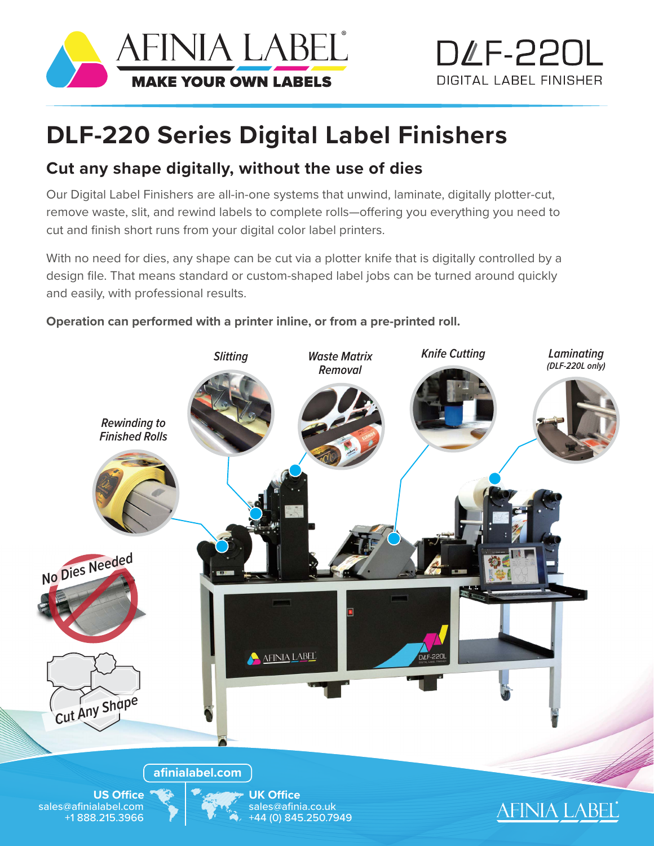



## **DLF-220 Series Digital Label Finishers**

## **Cut any shape digitally, without the use of dies**

Our Digital Label Finishers are all-in-one systems that unwind, laminate, digitally plotter-cut, remove waste, slit, and rewind labels to complete rolls—offering you everything you need to cut and finish short runs from your digital color label printers.

With no need for dies, any shape can be cut via a plotter knife that is digitally controlled by a design file. That means standard or custom-shaped label jobs can be turned around quickly and easily, with professional results.

## **Operation can performed with a printer inline, or from a pre-printed roll.**